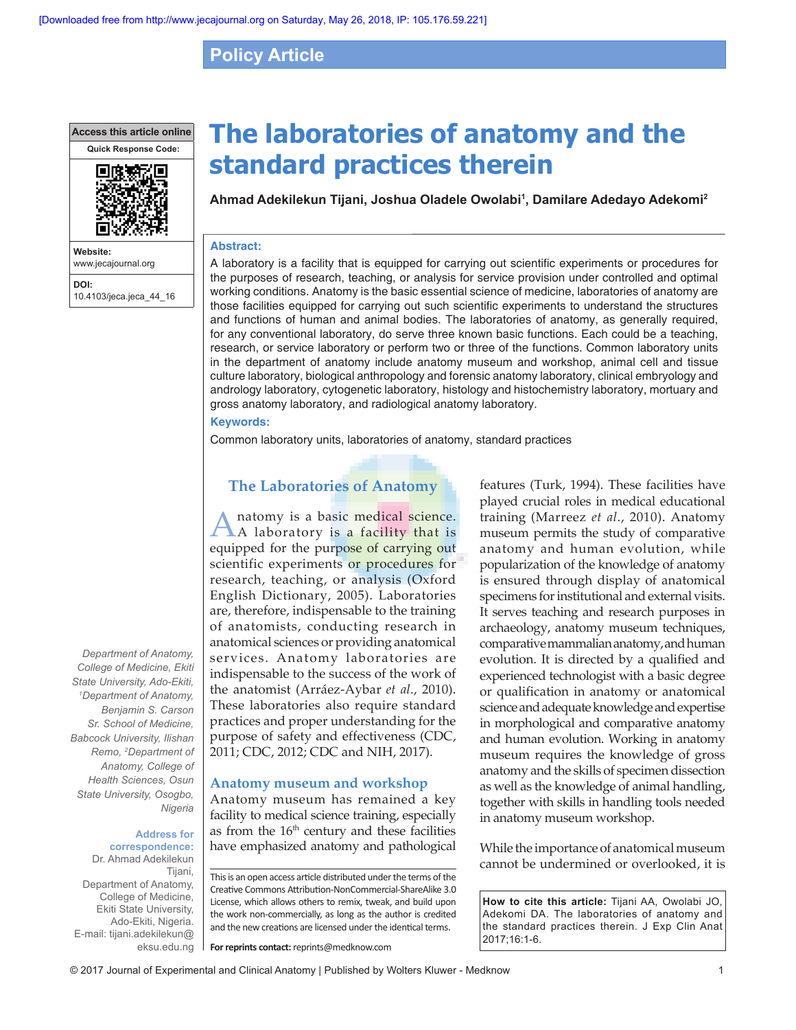# **Policy Article**

**Access this article online**



**Website:** www.jecajournal.org **DOI:** 10.4103/jeca.jeca\_44\_16 **The laboratories of anatomy and the standard practices therein**

**Ahmad Adekilekun Tijani, Joshua Oladele Owolabi1 , Damilare Adedayo Adekomi2**

#### **Abstract:**

A laboratory is a facility that is equipped for carrying out scientific experiments or procedures for the purposes of research, teaching, or analysis for service provision under controlled and optimal working conditions. Anatomy is the basic essential science of medicine, laboratories of anatomy are those facilities equipped for carrying out such scientific experiments to understand the structures and functions of human and animal bodies. The laboratories of anatomy, as generally required, for any conventional laboratory, do serve three known basic functions. Each could be a teaching, research, or service laboratory or perform two or three of the functions. Common laboratory units in the department of anatomy include anatomy museum and workshop, animal cell and tissue culture laboratory, biological anthropology and forensic anatomy laboratory, clinical embryology and andrology laboratory, cytogenetic laboratory, histology and histochemistry laboratory, mortuary and gross anatomy laboratory, and radiological anatomy laboratory.

#### **Keywords:**

Common laboratory units, laboratories of anatomy, standard practices

# **The Laboratories of Anatomy**

natomy is a basic medical science. A laboratory is a facility that is equipped for the purpose of carrying out scientific experiments or procedures for research, teaching, or analysis (Oxford English Dictionary, 2005). Laboratories are, therefore, indispensable to the training of anatomists, conducting research in anatomical sciences or providing anatomical services. Anatomy laboratories are indispensable to the success of the work of the anatomist (Arráez‑Aybar *et al*., 2010). These laboratories also require standard practices and proper understanding for the purpose of safety and effectiveness (CDC, 2011; CDC, 2012; CDC and NIH, 2017).

### **Anatomy museum and workshop**

Anatomy museum has remained a key facility to medical science training, especially as from the  $16<sup>th</sup>$  century and these facilities have emphasized anatomy and pathological

This is an open access article distributed under the terms of the Creative Commons Attribution-NonCommercial-ShareAlike 3.0 License, which allows others to remix, tweak, and build upon the work non-commercially, as long as the author is credited and the new creations are licensed under the identical terms.

**For reprints contact:** reprints@medknow.com

features (Turk, 1994). These facilities have played crucial roles in medical educational training (Marreez *et al*., 2010). Anatomy museum permits the study of comparative anatomy and human evolution, while popularization of the knowledge of anatomy is ensured through display of anatomical specimens for institutional and external visits. It serves teaching and research purposes in archaeology, anatomy museum techniques, comparative mammalian anatomy, and human evolution. It is directed by a qualified and experienced technologist with a basic degree or qualification in anatomy or anatomical science and adequate knowledge and expertise in morphological and comparative anatomy and human evolution. Working in anatomy museum requires the knowledge of gross anatomy and the skills of specimen dissection as well as the knowledge of animal handling, together with skills in handling tools needed in anatomy museum workshop.

While the importance of anatomical museum cannot be undermined or overlooked, it is

**How to cite this article:** Tijani AA, Owolabi JO, Adekomi DA. The laboratories of anatomy and the standard practices therein. J Exp Clin Anat 2017;16:1-6.

*Department of Anatomy, College of Medicine, Ekiti State University, Ado‑Ekiti, 1 Department of Anatomy, Benjamin S. Carson Sr. School of Medicine, Babcock University, Ilishan Remo, 2 Department of Anatomy, College of Health Sciences, Osun State University, Osogbo, Nigeria*

#### **Address for correspondence:**  Dr. Ahmad Adekilekun

Tijani, Department of Anatomy, College of Medicine, Ekiti State University, Ado-Ekiti, Nigeria. E-mail: tijani.adekilekun@ eksu.edu.ng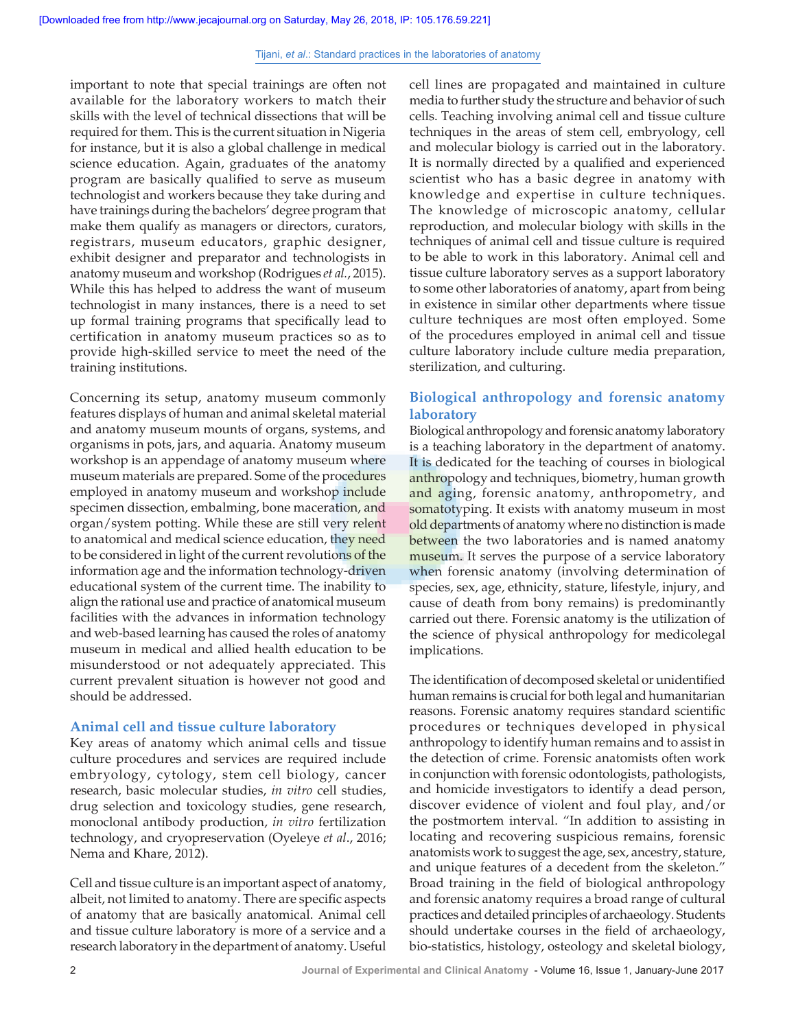important to note that special trainings are often not available for the laboratory workers to match their skills with the level of technical dissections that will be required for them. This is the current situation in Nigeria for instance, but it is also a global challenge in medical science education. Again, graduates of the anatomy program are basically qualified to serve as museum technologist and workers because they take during and have trainings during the bachelors' degree program that make them qualify as managers or directors, curators, registrars, museum educators, graphic designer, exhibit designer and preparator and technologists in anatomy museum and workshop (Rodrigues *et al.*, 2015). While this has helped to address the want of museum technologist in many instances, there is a need to set up formal training programs that specifically lead to certification in anatomy museum practices so as to provide high‑skilled service to meet the need of the training institutions.

Concerning its setup, anatomy museum commonly features displays of human and animal skeletal material and anatomy museum mounts of organs, systems, and organisms in pots, jars, and aquaria. Anatomy museum workshop is an appendage of anatomy museum where museum materials are prepared. Some of the procedures employed in anatomy museum and workshop include specimen dissection, embalming, bone maceration, and organ/system potting. While these are still very relent to anatomical and medical science education, they need to be considered in light of the current revolutions of the information age and the information technology-driven educational system of the current time. The inability to align the rational use and practice of anatomical museum facilities with the advances in information technology and web‑based learning has caused the roles of anatomy museum in medical and allied health education to be misunderstood or not adequately appreciated. This current prevalent situation is however not good and should be addressed.

### **Animal cell and tissue culture laboratory**

Key areas of anatomy which animal cells and tissue culture procedures and services are required include embryology, cytology, stem cell biology, cancer research, basic molecular studies, *in vitro* cell studies, drug selection and toxicology studies, gene research, monoclonal antibody production, *in vitro* fertilization technology, and cryopreservation (Oyeleye *et al*., 2016; Nema and Khare, 2012).

Cell and tissue culture is an important aspect of anatomy, albeit, not limited to anatomy. There are specific aspects of anatomy that are basically anatomical. Animal cell and tissue culture laboratory is more of a service and a research laboratory in the department of anatomy. Useful cell lines are propagated and maintained in culture media to further study the structure and behavior of such cells. Teaching involving animal cell and tissue culture techniques in the areas of stem cell, embryology, cell and molecular biology is carried out in the laboratory. It is normally directed by a qualified and experienced scientist who has a basic degree in anatomy with knowledge and expertise in culture techniques. The knowledge of microscopic anatomy, cellular reproduction, and molecular biology with skills in the techniques of animal cell and tissue culture is required to be able to work in this laboratory. Animal cell and tissue culture laboratory serves as a support laboratory to some other laboratories of anatomy, apart from being in existence in similar other departments where tissue culture techniques are most often employed. Some of the procedures employed in animal cell and tissue culture laboratory include culture media preparation, sterilization, and culturing.

# **Biological anthropology and forensic anatomy laboratory**

Biological anthropology and forensic anatomy laboratory is a teaching laboratory in the department of anatomy. It is dedicated for the teaching of courses in biological anthropology and techniques, biometry, human growth and aging, forensic anatomy, anthropometry, and somatotyping. It exists with anatomy museum in most old departments of anatomy where no distinction is made between the two laboratories and is named anatomy museum. It serves the purpose of a service laboratory when forensic anatomy (involving determination of species, sex, age, ethnicity, stature, lifestyle, injury, and cause of death from bony remains) is predominantly carried out there. Forensic anatomy is the utilization of the science of physical anthropology for medicolegal implications.

The identification of decomposed skeletal or unidentified human remains is crucial for both legal and humanitarian reasons. Forensic anatomy requires standard scientific procedures or techniques developed in physical anthropology to identify human remains and to assist in the detection of crime. Forensic anatomists often work in conjunction with forensic odontologists, pathologists, and homicide investigators to identify a dead person, discover evidence of violent and foul play, and/or the postmortem interval. "In addition to assisting in locating and recovering suspicious remains, forensic anatomists work to suggest the age, sex, ancestry, stature, and unique features of a decedent from the skeleton." Broad training in the field of biological anthropology and forensic anatomy requires a broad range of cultural practices and detailed principles of archaeology. Students should undertake courses in the field of archaeology, bio‑statistics, histology, osteology and skeletal biology,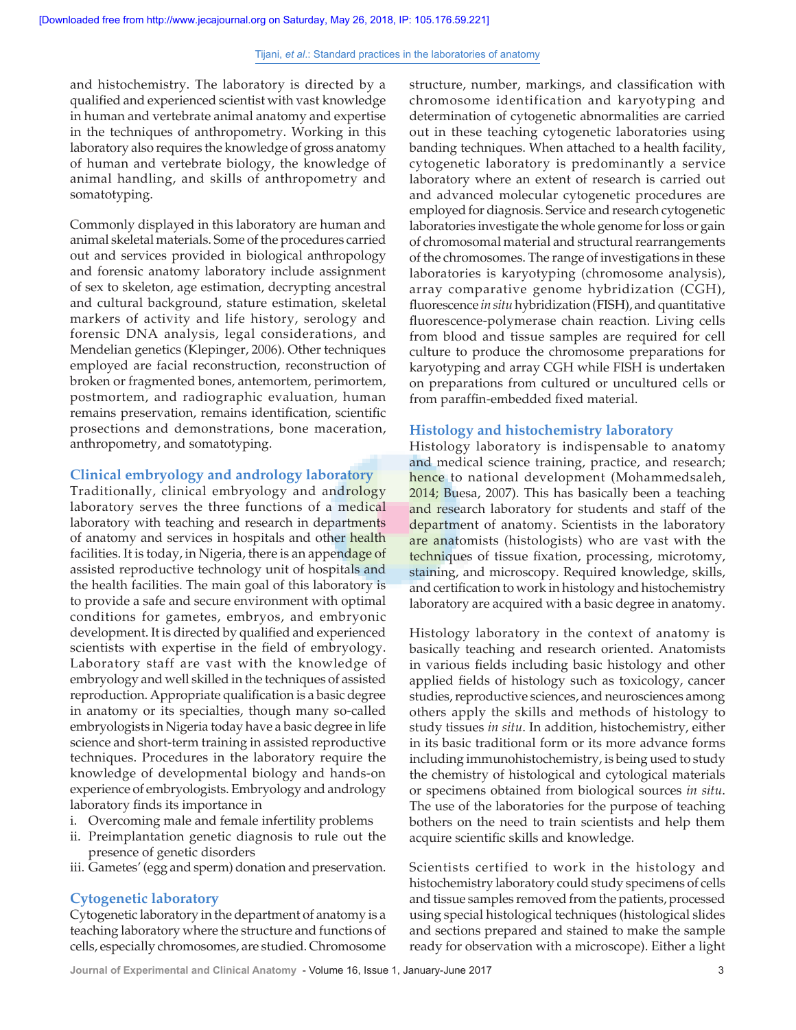and histochemistry. The laboratory is directed by a qualified and experienced scientist with vast  knowledge in human and vertebrate animal anatomy and expertise in the techniques of anthropometry. Working in this laboratory also requires the knowledge of gross anatomy of human and vertebrate biology, the knowledge of animal handling, and skills of anthropometry and somatotyping.

Commonly displayed in this laboratory are human and animal skeletal materials. Some of the procedures carried out and services provided in biological anthropology and forensic anatomy laboratory include assignment of sex to skeleton, age estimation, decrypting ancestral and cultural background, stature estimation, skeletal markers of activity and life history, serology and forensic DNA analysis, legal considerations, and Mendelian genetics (Klepinger, 2006). Other techniques employed are facial reconstruction, reconstruction of broken or fragmented bones, antemortem, perimortem, postmortem, and radiographic evaluation, human remains preservation, remains identification, scientific prosections and demonstrations, bone maceration, anthropometry, and somatotyping.

### **Clinical embryology and andrology laboratory**

Traditionally, clinical embryology and andrology laboratory serves the three functions of a medical laboratory with teaching and research in departments of anatomy and services in hospitals and other health facilities. It is today, in Nigeria, there is an appendage of assisted reproductive technology unit of hospitals and the health facilities. The main goal of this laboratory is to provide a safe and secure environment with optimal conditions for gametes, embryos, and embryonic development. It is directed by qualified and experienced scientists with expertise in the field of embryology. Laboratory staff are vast with the knowledge of embryology and well skilled in the techniques of assisted reproduction. Appropriate qualification is a basic degree in anatomy or its specialties, though many so-called embryologists in Nigeria today have a basic degree in life science and short-term training in assisted reproductive techniques. Procedures in the laboratory require the knowledge of developmental biology and hands‑on experience of embryologists. Embryology and andrology laboratory finds its importance in

- i. Overcoming male and female infertility problems
- ii. Preimplantation genetic diagnosis to rule out the presence of genetic disorders
- iii. Gametes'(egg and sperm) donation and preservation.

### **Cytogenetic laboratory**

Cytogenetic laboratory in the department of anatomy is a teaching laboratory where the structure and functions of cells, especially chromosomes, are studied. Chromosome structure, number, markings, and classification with chromosome identification and karyotyping and determination of cytogenetic abnormalities are carried out in these teaching cytogenetic laboratories using banding techniques. When attached to a health facility, cytogenetic laboratory is predominantly a service laboratory where an extent of research is carried out and advanced molecular cytogenetic procedures are employed for diagnosis. Service and research cytogenetic laboratories investigate the whole genome for loss or gain of chromosomal material and structural rearrangements of the chromosomes. The range of investigations in these laboratories is karyotyping (chromosome analysis), array comparative genome hybridization (CGH), fluorescence *in situ* hybridization (FISH), and quantitative fluorescence‑polymerase chain reaction. Living cells from blood and tissue samples are required for cell culture to produce the chromosome preparations for karyotyping and array CGH while FISH is undertaken on preparations from cultured or uncultured cells or from paraffin‑embedded fixed material.

### **Histology and histochemistry laboratory**

Histology laboratory is indispensable to anatomy and medical science training, practice, and research; hence to national development (Mohammedsaleh, 2014; Buesa, 2007). This has basically been a teaching and research laboratory for students and staff of the department of anatomy. Scientists in the laboratory are anatomists (histologists) who are vast with the techniques of tissue fixation, processing, microtomy, staining, and microscopy. Required knowledge, skills, and certification to work in histology and histochemistry laboratory are acquired with a basic degree in anatomy.

Histology laboratory in the context of anatomy is basically teaching and research oriented. Anatomists in various fields including basic histology and other applied fields of histology such as toxicology, cancer studies, reproductive sciences, and neurosciences among others apply the skills and methods of histology to study tissues *in situ*. In addition, histochemistry, either in its basic traditional form or its more advance forms including immunohistochemistry, is being used to study the chemistry of histological and cytological materials or specimens obtained from biological sources *in situ*. The use of the laboratories for the purpose of teaching bothers on the need to train scientists and help them acquire scientific skills and knowledge.

Scientists certified to work in the histology and histochemistry laboratory could study specimens of cells and tissue samples removed from the patients, processed using special histological techniques (histological slides and sections prepared and stained to make the sample ready for observation with a microscope). Either a light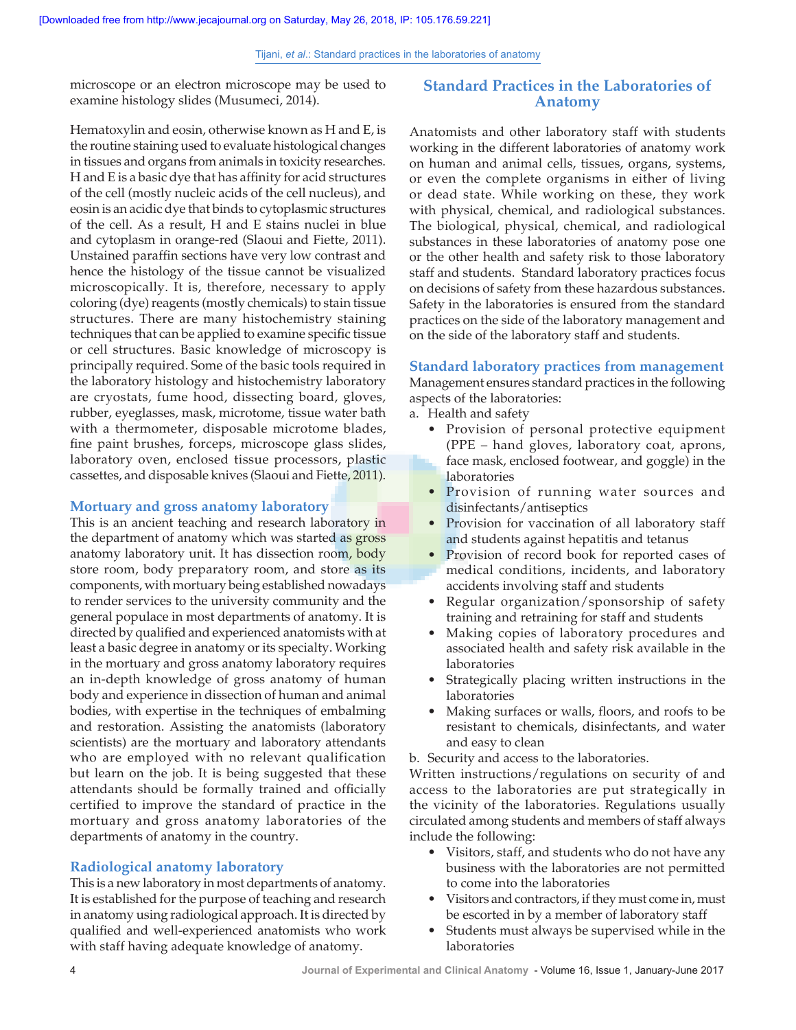microscope or an electron microscope may be used to examine histology slides (Musumeci, 2014).

# Hematoxylin and eosin, otherwise known as H and E, is the routine staining used to evaluate histological changes in tissues and organs from animals in toxicity researches. H and E is a basic dye that has affinity for acid structures of the cell (mostly nucleic acids of the cell nucleus), and eosin is an acidic dye that binds to cytoplasmic structures of the cell. As a result, H and E stains nuclei in blue and cytoplasm in orange-red (Slaoui and Fiette, 2011). Unstained paraffin sections have very low contrast and hence the histology of the tissue cannot be visualized microscopically. It is, therefore, necessary to apply coloring (dye) reagents (mostly chemicals) to stain tissue structures. There are many histochemistry staining techniques that can be applied to examine specific tissue or cell structures. Basic knowledge of microscopy is principally required. Some of the basic tools required in the laboratory histology and histochemistry laboratory are cryostats, fume hood, dissecting board, gloves, rubber, eyeglasses, mask, microtome, tissue water bath with a thermometer, disposable microtome blades, fine paint brushes, forceps, microscope glass slides, laboratory oven, enclosed tissue processors, plastic cassettes, and disposable knives (Slaoui and Fiette, 2011).

### **Mortuary and gross anatomy laboratory**

This is an ancient teaching and research laboratory in the department of anatomy which was started as gross anatomy laboratory unit. It has dissection room, body store room, body preparatory room, and store as its components, with mortuary being established nowadays to render services to the university community and the general populace in most departments of anatomy. It is directed by qualified and experienced anatomists with at least a basic degree in anatomy or its specialty. Working in the mortuary and gross anatomy laboratory requires an in‑depth knowledge of gross anatomy of human body and experience in dissection of human and animal bodies, with expertise in the techniques of embalming and restoration. Assisting the anatomists (laboratory scientists) are the mortuary and laboratory attendants who are employed with no relevant qualification but learn on the job. It is being suggested that these attendants should be formally trained and officially certified to improve the standard of practice in the mortuary and gross anatomy laboratories of the departments of anatomy in the country.

### **Radiological anatomy laboratory**

This is a new laboratory in most departments of anatomy. It is established for the purpose of teaching and research in anatomy using radiological approach. It is directed by qualified and well-experienced anatomists who work with staff having adequate knowledge of anatomy.

# **Standard Practices in the Laboratories of Anatomy**

Anatomists and other laboratory staff with students working in the different laboratories of anatomy work on human and animal cells, tissues, organs, systems, or even the complete organisms in either of living or dead state. While working on these, they work with physical, chemical, and radiological substances. The biological, physical, chemical, and radiological substances in these laboratories of anatomy pose one or the other health and safety risk to those laboratory staff and students. Standard laboratory practices focus on decisions of safety from these hazardous substances. Safety in the laboratories is ensured from the standard practices on the side of the laboratory management and on the side of the laboratory staff and students.

### **Standard laboratory practices from management**

Management ensures standard practices in the following aspects of the laboratories:

- a. Health and safety
	- Provision of personal protective equipment (PPE – hand gloves, laboratory coat, aprons, face mask, enclosed footwear, and goggle) in the laboratories
	- Provision of running water sources and disinfectants/antiseptics
	- Provision for vaccination of all laboratory staff and students against hepatitis and tetanus
	- Provision of record book for reported cases of medical conditions, incidents, and laboratory accidents involving staff and students
	- Regular organization/sponsorship of safety training and retraining for staff and students
	- Making copies of laboratory procedures and associated health and safety risk available in the laboratories
	- Strategically placing written instructions in the laboratories
	- Making surfaces or walls, floors, and roofs to be resistant to chemicals, disinfectants, and water and easy to clean

b. Security and access to the laboratories.

Written instructions/regulations on security of and access to the laboratories are put strategically in the vicinity of the laboratories. Regulations usually circulated among students and members of staff always include the following:

- Visitors, staff, and students who do not have any business with the laboratories are not permitted to come into the laboratories
- Visitors and contractors, if they must come in, must be escorted in by a member of laboratory staff
- Students must always be supervised while in the laboratories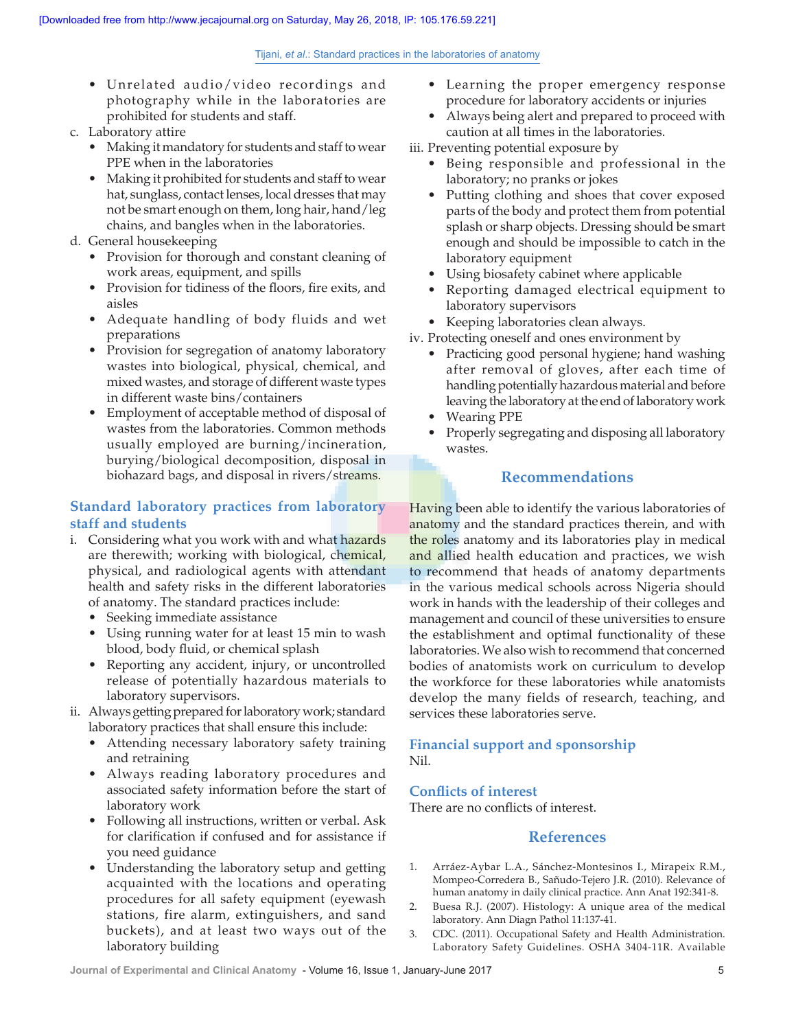- Unrelated audio/video recordings and photography while in the laboratories are prohibited for students and staff.
- c. Laboratory attire
	- Making it mandatory for students and staff to wear PPE when in the laboratories
	- Making it prohibited for students and staff to wear hat, sunglass, contact lenses, local dresses that may not be smart enough on them, long hair, hand/leg chains, and bangles when in the laboratories.
- d. General housekeeping
	- Provision for thorough and constant cleaning of work areas, equipment, and spills
	- Provision for tidiness of the floors, fire exits, and aisles
	- Adequate handling of body fluids and wet preparations
	- Provision for segregation of anatomy laboratory wastes into biological, physical, chemical, and mixed wastes, and storage of different waste types in different waste bins/containers
	- Employment of acceptable method of disposal of wastes from the laboratories. Common methods usually employed are burning/incineration, burying/biological decomposition, disposal in biohazard bags, and disposal in rivers/streams.

# **Standard laboratory practices from laboratory staff and students**

- i. Considering what you work with and what hazards are therewith; working with biological, chemical, physical, and radiological agents with attendant health and safety risks in the different laboratories of anatomy. The standard practices include:
	- Seeking immediate assistance
	- Using running water for at least 15 min to wash blood, body fluid, or chemical splash
	- Reporting any accident, injury, or uncontrolled release of potentially hazardous materials to laboratory supervisors.
- ii. Always getting prepared for laboratory work; standard laboratory practices that shall ensure this include:
	- Attending necessary laboratory safety training and retraining
	- Always reading laboratory procedures and associated safety information before the start of laboratory work
	- Following all instructions, written or verbal. Ask for clarification if confused and for assistance if you need guidance
	- Understanding the laboratory setup and getting acquainted with the locations and operating procedures for all safety equipment (eyewash stations, fire alarm, extinguishers, and sand buckets), and at least two ways out of the laboratory building
- Learning the proper emergency response procedure for laboratory accidents or injuries
- Always being alert and prepared to proceed with caution at all times in the laboratories.

iii. Preventing potential exposure by

- Being responsible and professional in the laboratory; no pranks or jokes
- Putting clothing and shoes that cover exposed parts of the body and protect them from potential splash or sharp objects. Dressing should be smart enough and should be impossible to catch in the laboratory equipment
- Using biosafety cabinet where applicable
- Reporting damaged electrical equipment to laboratory supervisors
- Keeping laboratories clean always.
- iv. Protecting oneself and ones environment by
	- Practicing good personal hygiene; hand washing after removal of gloves, after each time of handling potentially hazardous material and before leaving the laboratory at the end of laboratory work
	- Wearing PPE
	- Properly segregating and disposing all laboratory wastes.

# **Recommendations**

Having been able to identify the various laboratories of anatomy and the standard practices therein, and with the roles anatomy and its laboratories play in medical and allied health education and practices, we wish to recommend that heads of anatomy departments in the various medical schools across Nigeria should work in hands with the leadership of their colleges and management and council of these universities to ensure the establishment and optimal functionality of these laboratories. We also wish to recommend that concerned bodies of anatomists work on curriculum to develop the workforce for these laboratories while anatomists develop the many fields of research, teaching, and services these laboratories serve.

# **Financial support and sponsorship** Nil.

## **Conflicts of interest**

There are no conflicts of interest.

# **References**

- 1. Arráez‑Aybar L.A., Sánchez‑Montesinos I., Mirapeix R.M., Mompeo‑Corredera B., Sañudo‑Tejero J.R. (2010). Relevance of human anatomy in daily clinical practice. Ann Anat 192:341‑8.
- 2. Buesa R.J. (2007). Histology: A unique area of the medical laboratory. Ann Diagn Pathol 11:137‑41.
- 3. CDC. (2011). Occupational Safety and Health Administration. Laboratory Safety Guidelines. OSHA 3404‑11R. Available